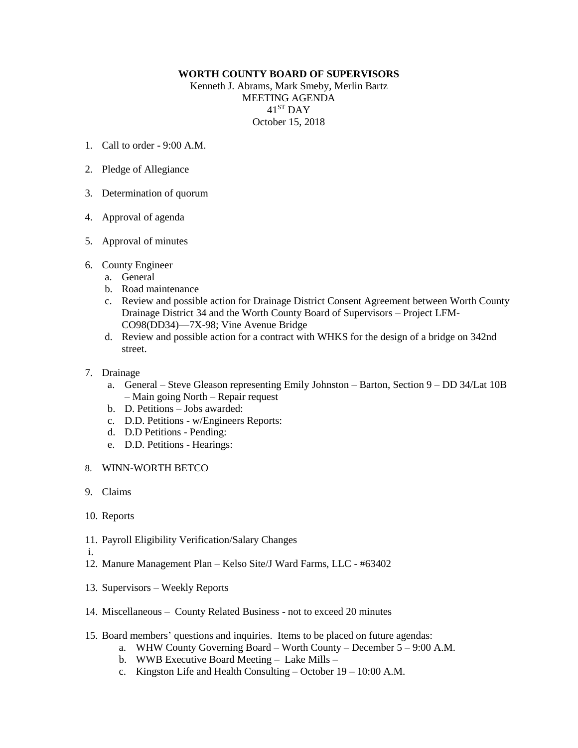## **WORTH COUNTY BOARD OF SUPERVISORS**

Kenneth J. Abrams, Mark Smeby, Merlin Bartz MEETING AGENDA 41ST DAY October 15, 2018

- 1. Call to order 9:00 A.M.
- 2. Pledge of Allegiance
- 3. Determination of quorum
- 4. Approval of agenda
- 5. Approval of minutes
- 6. County Engineer
	- a. General
	- b. Road maintenance
	- c. Review and possible action for Drainage District Consent Agreement between Worth County Drainage District 34 and the Worth County Board of Supervisors – Project LFM-CO98(DD34)—7X-98; Vine Avenue Bridge
	- d. Review and possible action for a contract with WHKS for the design of a bridge on 342nd street.
- 7. Drainage
	- a. General Steve Gleason representing Emily Johnston Barton, Section 9 DD 34/Lat 10B – Main going North – Repair request
	- b. D. Petitions Jobs awarded:
	- c. D.D. Petitions w/Engineers Reports:
	- d. D.D Petitions Pending:
	- e. D.D. Petitions Hearings:
- 8. WINN-WORTH BETCO
- 9. Claims
- 10. Reports
- 11. Payroll Eligibility Verification/Salary Changes
- i.
- 12. Manure Management Plan Kelso Site/J Ward Farms, LLC #63402
- 13. Supervisors Weekly Reports
- 14. Miscellaneous County Related Business not to exceed 20 minutes
- 15. Board members' questions and inquiries. Items to be placed on future agendas:
	- a. WHW County Governing Board Worth County December 5 9:00 A.M.
	- b. WWB Executive Board Meeting Lake Mills –
	- c. Kingston Life and Health Consulting October 19 10:00 A.M.